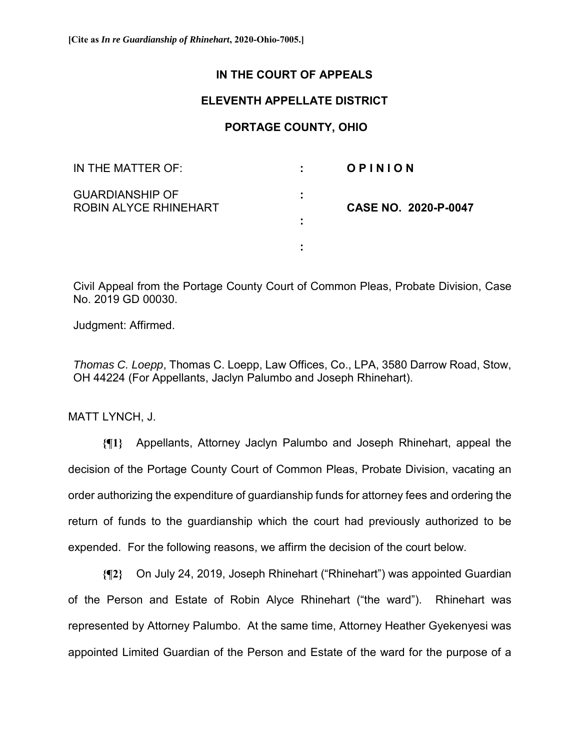## **IN THE COURT OF APPEALS**

## **ELEVENTH APPELLATE DISTRICT**

## **PORTAGE COUNTY, OHIO**

| IN THE MATTER OF:                                      | ÷                        | OPINION                     |
|--------------------------------------------------------|--------------------------|-----------------------------|
| <b>GUARDIANSHIP OF</b><br><b>ROBIN ALYCE RHINEHART</b> | $\blacksquare$<br>٠<br>٠ | <b>CASE NO. 2020-P-0047</b> |
|                                                        | ٠                        |                             |

Civil Appeal from the Portage County Court of Common Pleas, Probate Division, Case No. 2019 GD 00030.

Judgment: Affirmed.

*Thomas C. Loepp*, Thomas C. Loepp, Law Offices, Co., LPA, 3580 Darrow Road, Stow, OH 44224 (For Appellants, Jaclyn Palumbo and Joseph Rhinehart).

MATT LYNCH, J.

**{¶1}** Appellants, Attorney Jaclyn Palumbo and Joseph Rhinehart, appeal the decision of the Portage County Court of Common Pleas, Probate Division, vacating an order authorizing the expenditure of guardianship funds for attorney fees and ordering the return of funds to the guardianship which the court had previously authorized to be expended. For the following reasons, we affirm the decision of the court below.

**{¶2}** On July 24, 2019, Joseph Rhinehart ("Rhinehart") was appointed Guardian of the Person and Estate of Robin Alyce Rhinehart ("the ward"). Rhinehart was represented by Attorney Palumbo. At the same time, Attorney Heather Gyekenyesi was appointed Limited Guardian of the Person and Estate of the ward for the purpose of a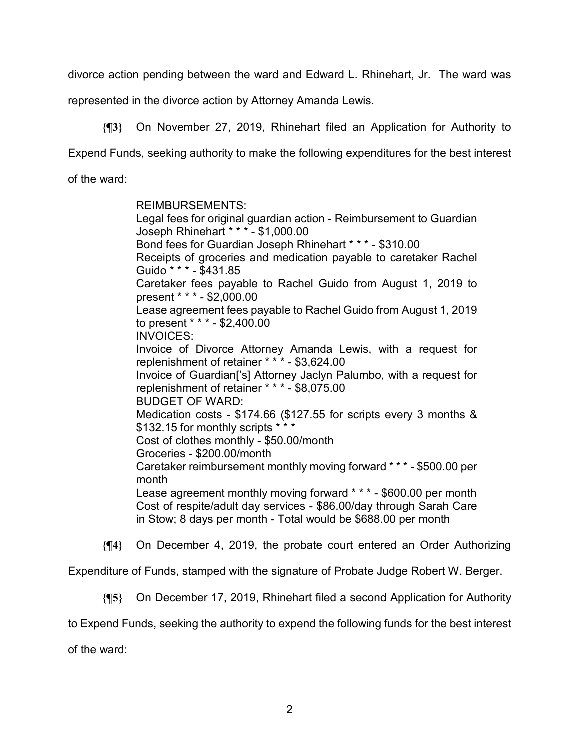divorce action pending between the ward and Edward L. Rhinehart, Jr. The ward was

represented in the divorce action by Attorney Amanda Lewis.

**{¶3}** On November 27, 2019, Rhinehart filed an Application for Authority to Expend Funds, seeking authority to make the following expenditures for the best interest of the ward:

> REIMBURSEMENTS: Legal fees for original guardian action - Reimbursement to Guardian Joseph Rhinehart \* \* \* - \$1,000.00 Bond fees for Guardian Joseph Rhinehart \* \* \* - \$310.00 Receipts of groceries and medication payable to caretaker Rachel Guido \* \* \* - \$431.85 Caretaker fees payable to Rachel Guido from August 1, 2019 to present \* \* \* - \$2,000.00 Lease agreement fees payable to Rachel Guido from August 1, 2019 to present \* \* \* - \$2,400.00 INVOICES: Invoice of Divorce Attorney Amanda Lewis, with a request for replenishment of retainer \* \* \* - \$3,624.00 Invoice of Guardian['s] Attorney Jaclyn Palumbo, with a request for replenishment of retainer \* \* \* - \$8,075.00 BUDGET OF WARD: Medication costs - \$174.66 (\$127.55 for scripts every 3 months & \$132.15 for monthly scripts \* \* \* Cost of clothes monthly - \$50.00/month Groceries - \$200.00/month Caretaker reimbursement monthly moving forward \* \* \* - \$500.00 per month Lease agreement monthly moving forward \* \* \* - \$600.00 per month Cost of respite/adult day services - \$86.00/day through Sarah Care in Stow; 8 days per month - Total would be \$688.00 per month

**{¶4}** On December 4, 2019, the probate court entered an Order Authorizing

Expenditure of Funds, stamped with the signature of Probate Judge Robert W. Berger.

**{¶5}** On December 17, 2019, Rhinehart filed a second Application for Authority

to Expend Funds, seeking the authority to expend the following funds for the best interest

of the ward: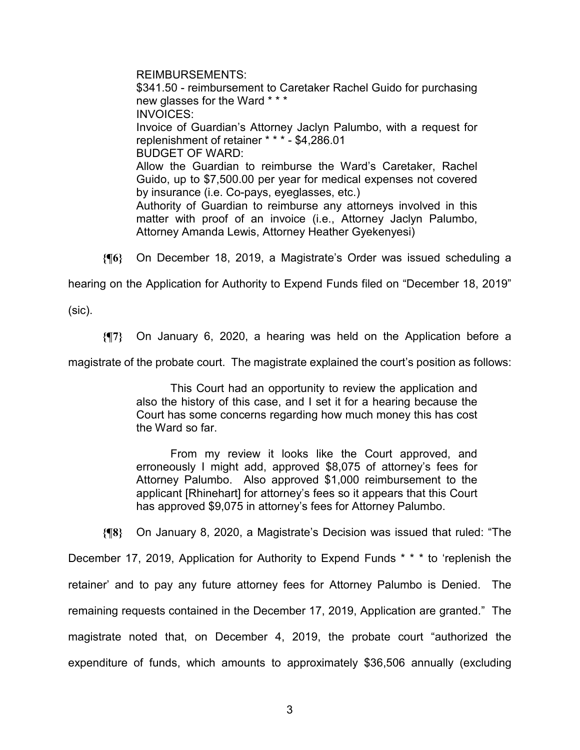REIMBURSEMENTS: \$341.50 - reimbursement to Caretaker Rachel Guido for purchasing new glasses for the Ward \* \* \* INVOICES: Invoice of Guardian's Attorney Jaclyn Palumbo, with a request for replenishment of retainer \* \* \* - \$4,286.01 BUDGET OF WARD: Allow the Guardian to reimburse the Ward's Caretaker, Rachel Guido, up to \$7,500.00 per year for medical expenses not covered by insurance (i.e. Co-pays, eyeglasses, etc.) Authority of Guardian to reimburse any attorneys involved in this matter with proof of an invoice (i.e., Attorney Jaclyn Palumbo, Attorney Amanda Lewis, Attorney Heather Gyekenyesi)

**{¶6}** On December 18, 2019, a Magistrate's Order was issued scheduling a

hearing on the Application for Authority to Expend Funds filed on "December 18, 2019"

(sic).

**{¶7}** On January 6, 2020, a hearing was held on the Application before a

magistrate of the probate court. The magistrate explained the court's position as follows:

This Court had an opportunity to review the application and also the history of this case, and I set it for a hearing because the Court has some concerns regarding how much money this has cost the Ward so far.

From my review it looks like the Court approved, and erroneously I might add, approved \$8,075 of attorney's fees for Attorney Palumbo. Also approved \$1,000 reimbursement to the applicant [Rhinehart] for attorney's fees so it appears that this Court has approved \$9,075 in attorney's fees for Attorney Palumbo.

**{¶8}** On January 8, 2020, a Magistrate's Decision was issued that ruled: "The

December 17, 2019, Application for Authority to Expend Funds \* \* \* to 'replenish the retainer' and to pay any future attorney fees for Attorney Palumbo is Denied. The remaining requests contained in the December 17, 2019, Application are granted." The magistrate noted that, on December 4, 2019, the probate court "authorized the expenditure of funds, which amounts to approximately \$36,506 annually (excluding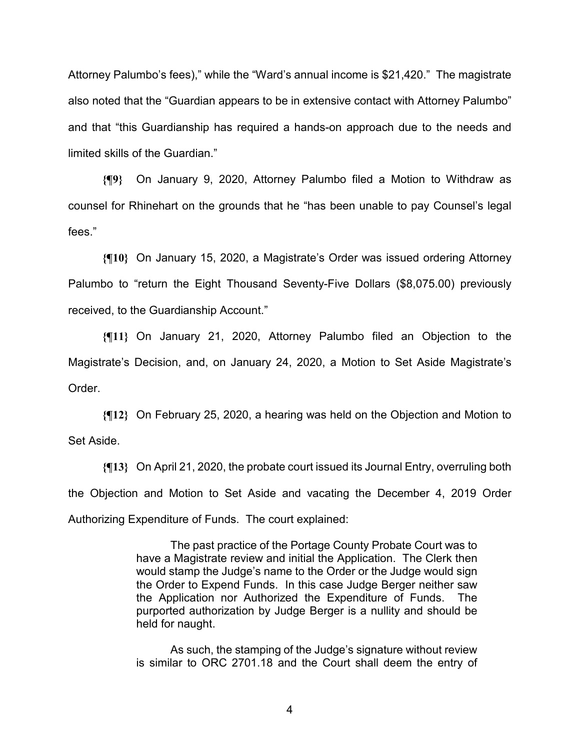Attorney Palumbo's fees)," while the "Ward's annual income is \$21,420." The magistrate also noted that the "Guardian appears to be in extensive contact with Attorney Palumbo" and that "this Guardianship has required a hands-on approach due to the needs and limited skills of the Guardian."

**{¶9}** On January 9, 2020, Attorney Palumbo filed a Motion to Withdraw as counsel for Rhinehart on the grounds that he "has been unable to pay Counsel's legal fees."

**{¶10}** On January 15, 2020, a Magistrate's Order was issued ordering Attorney Palumbo to "return the Eight Thousand Seventy-Five Dollars (\$8,075.00) previously received, to the Guardianship Account."

**{¶11}** On January 21, 2020, Attorney Palumbo filed an Objection to the Magistrate's Decision, and, on January 24, 2020, a Motion to Set Aside Magistrate's Order.

**{¶12}** On February 25, 2020, a hearing was held on the Objection and Motion to Set Aside.

**{¶13}** On April 21, 2020, the probate court issued its Journal Entry, overruling both the Objection and Motion to Set Aside and vacating the December 4, 2019 Order Authorizing Expenditure of Funds. The court explained:

> The past practice of the Portage County Probate Court was to have a Magistrate review and initial the Application. The Clerk then would stamp the Judge's name to the Order or the Judge would sign the Order to Expend Funds. In this case Judge Berger neither saw the Application nor Authorized the Expenditure of Funds. The purported authorization by Judge Berger is a nullity and should be held for naught.

> As such, the stamping of the Judge's signature without review is similar to ORC 2701.18 and the Court shall deem the entry of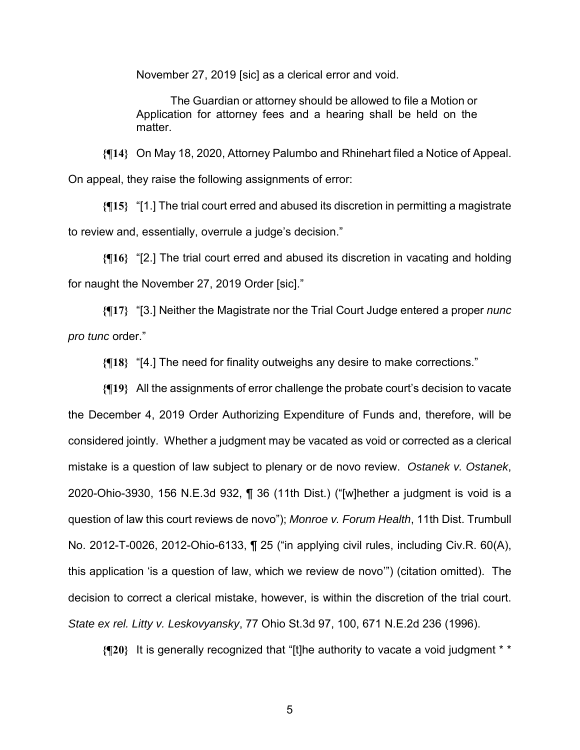November 27, 2019 [sic] as a clerical error and void.

The Guardian or attorney should be allowed to file a Motion or Application for attorney fees and a hearing shall be held on the matter.

**{¶14}** On May 18, 2020, Attorney Palumbo and Rhinehart filed a Notice of Appeal. On appeal, they raise the following assignments of error:

**{¶15}** "[1.] The trial court erred and abused its discretion in permitting a magistrate to review and, essentially, overrule a judge's decision."

**{¶16}** "[2.] The trial court erred and abused its discretion in vacating and holding for naught the November 27, 2019 Order [sic]."

**{¶17}** "[3.] Neither the Magistrate nor the Trial Court Judge entered a proper *nunc pro tunc* order."

**{¶18}** "[4.] The need for finality outweighs any desire to make corrections."

**{¶19}** All the assignments of error challenge the probate court's decision to vacate the December 4, 2019 Order Authorizing Expenditure of Funds and, therefore, will be considered jointly. Whether a judgment may be vacated as void or corrected as a clerical mistake is a question of law subject to plenary or de novo review. *Ostanek v. Ostanek*, 2020-Ohio-3930, 156 N.E.3d 932, ¶ 36 (11th Dist.) ("[w]hether a judgment is void is a question of law this court reviews de novo"); *Monroe v. Forum Health*, 11th Dist. Trumbull No. 2012-T-0026, 2012-Ohio-6133, ¶ 25 ("in applying civil rules, including Civ.R. 60(A), this application 'is a question of law, which we review de novo'") (citation omitted). The decision to correct a clerical mistake, however, is within the discretion of the trial court. *State ex rel. Litty v. Leskovyansky*, 77 Ohio St.3d 97, 100, 671 N.E.2d 236 (1996).

**{¶20}** It is generally recognized that "[t]he authority to vacate a void judgment \* \*

 $5<sup>th</sup>$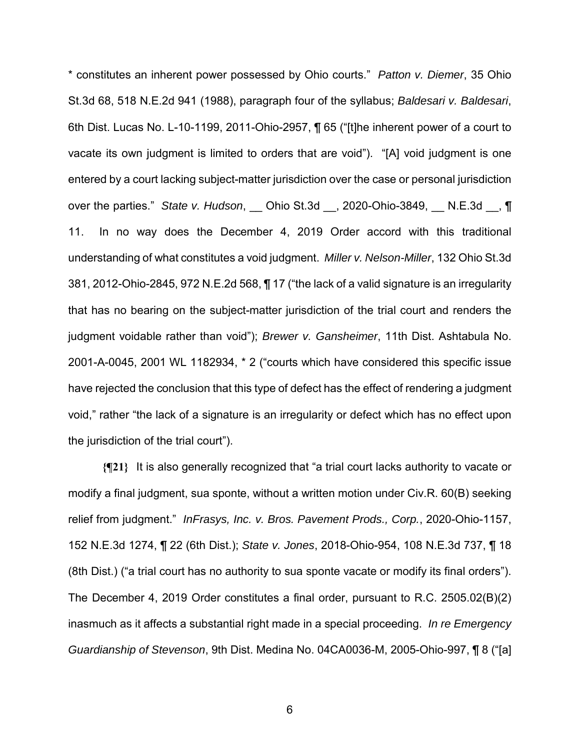\* constitutes an inherent power possessed by Ohio courts." *Patton v. Diemer*, 35 Ohio St.3d 68, 518 N.E.2d 941 (1988), paragraph four of the syllabus; *Baldesari v. Baldesari*, 6th Dist. Lucas No. L-10-1199, 2011-Ohio-2957, ¶ 65 ("[t]he inherent power of a court to vacate its own judgment is limited to orders that are void"). "[A] void judgment is one entered by a court lacking subject-matter jurisdiction over the case or personal jurisdiction over the parties." *State v. Hudson*, \_\_ Ohio St.3d \_\_, 2020-Ohio-3849, \_\_ N.E.3d \_\_, ¶ 11. In no way does the December 4, 2019 Order accord with this traditional understanding of what constitutes a void judgment. *Miller v. Nelson-Miller*, 132 Ohio St.3d 381, 2012-Ohio-2845, 972 N.E.2d 568, ¶ 17 ("the lack of a valid signature is an irregularity that has no bearing on the subject-matter jurisdiction of the trial court and renders the judgment voidable rather than void"); *Brewer v. Gansheimer*, 11th Dist. Ashtabula No. 2001-A-0045, 2001 WL 1182934, \* 2 ("courts which have considered this specific issue have rejected the conclusion that this type of defect has the effect of rendering a judgment void," rather "the lack of a signature is an irregularity or defect which has no effect upon the jurisdiction of the trial court").

**{¶21}** It is also generally recognized that "a trial court lacks authority to vacate or modify a final judgment, sua sponte, without a written motion under Civ.R. 60(B) seeking relief from judgment." *InFrasys, Inc. v. Bros. Pavement Prods., Corp.*, 2020-Ohio-1157, 152 N.E.3d 1274, ¶ 22 (6th Dist.); *State v. Jones*, 2018-Ohio-954, 108 N.E.3d 737, ¶ 18 (8th Dist.) ("a trial court has no authority to sua sponte vacate or modify its final orders"). The December 4, 2019 Order constitutes a final order, pursuant to R.C. 2505.02(B)(2) inasmuch as it affects a substantial right made in a special proceeding. *In re Emergency Guardianship of Stevenson*, 9th Dist. Medina No. 04CA0036-M, 2005-Ohio-997, ¶ 8 ("[a]

 $\sim$  6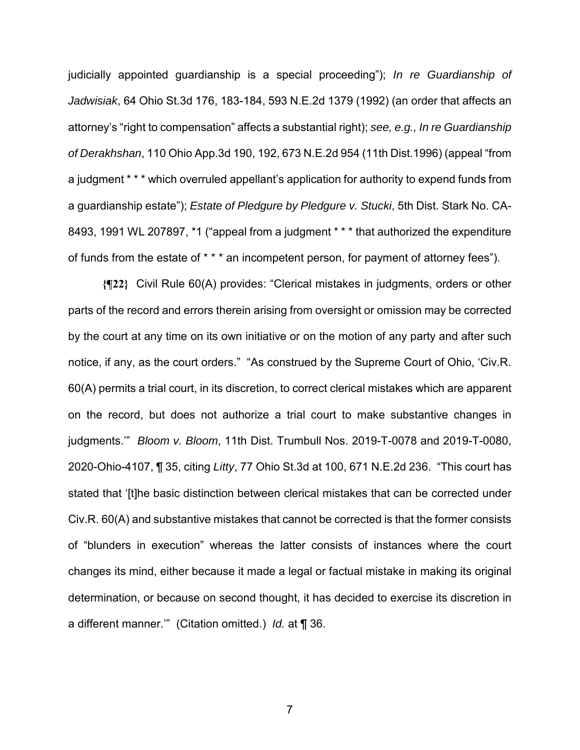judicially appointed guardianship is a special proceeding"); *In re Guardianship of Jadwisiak*, 64 Ohio St.3d 176, 183-184, 593 N.E.2d 1379 (1992) (an order that affects an attorney's "right to compensation" affects a substantial right); *see, e.g., In re Guardianship of Derakhshan*, 110 Ohio App.3d 190, 192, 673 N.E.2d 954 (11th Dist.1996) (appeal "from a judgment \* \* \* which overruled appellant's application for authority to expend funds from a guardianship estate"); *Estate of Pledgure by Pledgure v. Stucki*, 5th Dist. Stark No. CA-8493, 1991 WL 207897, \*1 ("appeal from a judgment \* \* \* that authorized the expenditure of funds from the estate of \* \* \* an incompetent person, for payment of attorney fees").

**{¶22}** Civil Rule 60(A) provides: "Clerical mistakes in judgments, orders or other parts of the record and errors therein arising from oversight or omission may be corrected by the court at any time on its own initiative or on the motion of any party and after such notice, if any, as the court orders." "As construed by the Supreme Court of Ohio, 'Civ.R. 60(A) permits a trial court, in its discretion, to correct clerical mistakes which are apparent on the record, but does not authorize a trial court to make substantive changes in judgments.'" *Bloom v. Bloom*, 11th Dist. Trumbull Nos. 2019-T-0078 and 2019-T-0080, 2020-Ohio-4107, ¶ 35, citing *Litty*, 77 Ohio St.3d at 100, 671 N.E.2d 236. "This court has stated that '[t]he basic distinction between clerical mistakes that can be corrected under Civ.R. 60(A) and substantive mistakes that cannot be corrected is that the former consists of "blunders in execution" whereas the latter consists of instances where the court changes its mind, either because it made a legal or factual mistake in making its original determination, or because on second thought, it has decided to exercise its discretion in a different manner.'" (Citation omitted.) *Id.* at ¶ 36.

7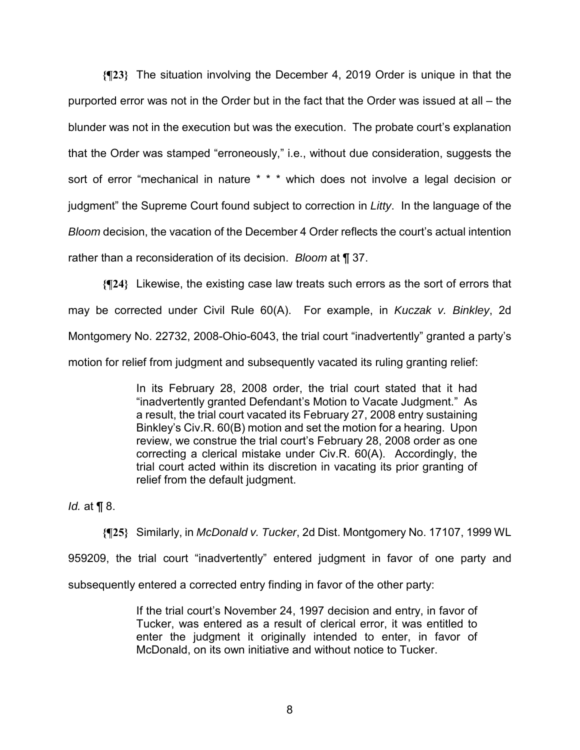**{¶23}** The situation involving the December 4, 2019 Order is unique in that the purported error was not in the Order but in the fact that the Order was issued at all – the blunder was not in the execution but was the execution. The probate court's explanation that the Order was stamped "erroneously," i.e., without due consideration, suggests the sort of error "mechanical in nature \* \* \* which does not involve a legal decision or judgment" the Supreme Court found subject to correction in *Litty*. In the language of the *Bloom* decision, the vacation of the December 4 Order reflects the court's actual intention rather than a reconsideration of its decision. *Bloom* at ¶ 37.

**{¶24}** Likewise, the existing case law treats such errors as the sort of errors that may be corrected under Civil Rule 60(A). For example, in *Kuczak v. Binkley*, 2d Montgomery No. 22732, 2008-Ohio-6043, the trial court "inadvertently" granted a party's motion for relief from judgment and subsequently vacated its ruling granting relief:

> In its February 28, 2008 order, the trial court stated that it had "inadvertently granted Defendant's Motion to Vacate Judgment." As a result, the trial court vacated its February 27, 2008 entry sustaining Binkley's Civ.R. 60(B) motion and set the motion for a hearing. Upon review, we construe the trial court's February 28, 2008 order as one correcting a clerical mistake under Civ.R. 60(A). Accordingly, the trial court acted within its discretion in vacating its prior granting of relief from the default judgment.

*Id.* at ¶ 8.

**{¶25}** Similarly, in *McDonald v. Tucker*, 2d Dist. Montgomery No. 17107, 1999 WL 959209, the trial court "inadvertently" entered judgment in favor of one party and subsequently entered a corrected entry finding in favor of the other party:

> If the trial court's November 24, 1997 decision and entry, in favor of Tucker, was entered as a result of clerical error, it was entitled to enter the judgment it originally intended to enter, in favor of McDonald, on its own initiative and without notice to Tucker.